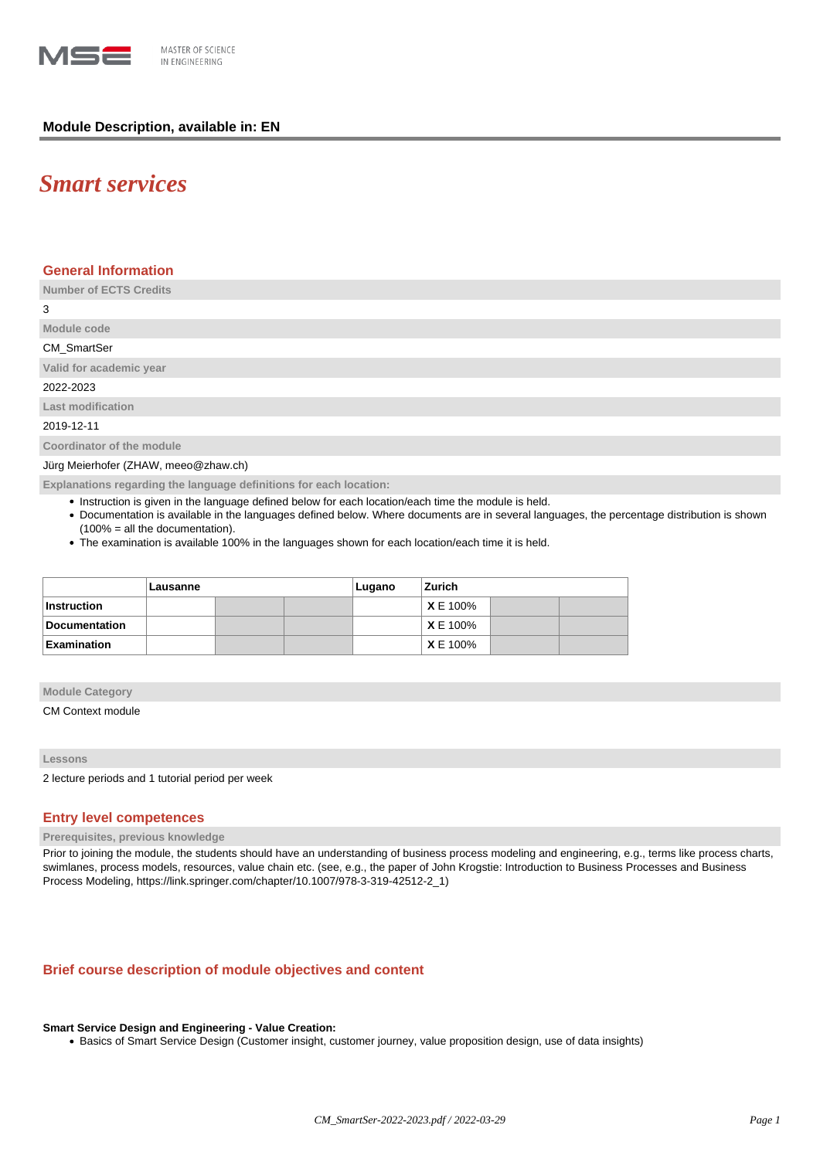

## **Module Description, available in: EN**

# *Smart services*

## **General Information**

**Number of ECTS Credits**

3

## **Module code** CM\_SmartSer

**Valid for academic year**

2022-2023

**Last modification**

2019-12-11

**Coordinator of the module**

Jürg Meierhofer (ZHAW, meeo@zhaw.ch)

**Explanations regarding the language definitions for each location:**

- Instruction is given in the language defined below for each location/each time the module is held.
- Documentation is available in the languages defined below. Where documents are in several languages, the percentage distribution is shown (100% = all the documentation).
- The examination is available 100% in the languages shown for each location/each time it is held.

|                    | Lausanne |  |  | Lugano | Zurich          |  |  |
|--------------------|----------|--|--|--------|-----------------|--|--|
| Instruction        |          |  |  |        | <b>X</b> E 100% |  |  |
| Documentation      |          |  |  |        | XE 100%         |  |  |
| <b>Examination</b> |          |  |  |        | <b>X</b> E 100% |  |  |

#### **Module Category**

CM Context module

#### **Lessons**

2 lecture periods and 1 tutorial period per week

## **Entry level competences**

#### **Prerequisites, previous knowledge**

Prior to joining the module, the students should have an understanding of business process modeling and engineering, e.g., terms like process charts, swimlanes, process models, resources, value chain etc. (see, e.g., the paper of John Krogstie: Introduction to Business Processes and Business Process Modeling, https://link.springer.com/chapter/10.1007/978-3-319-42512-2\_1)

## **Brief course description of module objectives and content**

## **Smart Service Design and Engineering - Value Creation:**

• Basics of Smart Service Design (Customer insight, customer journey, value proposition design, use of data insights)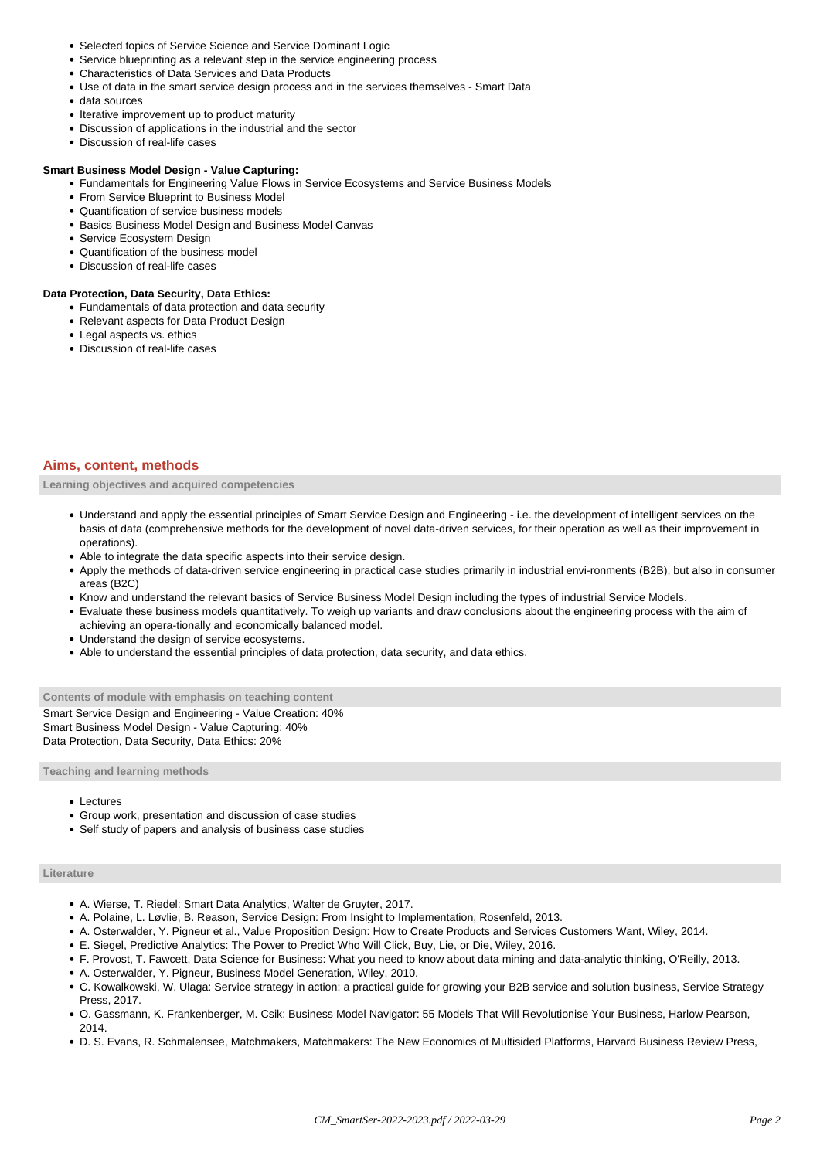- Selected topics of Service Science and Service Dominant Logic
- Service blueprinting as a relevant step in the service engineering process
- Characteristics of Data Services and Data Products
- Use of data in the smart service design process and in the services themselves Smart Data
- data sources
- Iterative improvement up to product maturity
- Discussion of applications in the industrial and the sector
- Discussion of real-life cases

#### **Smart Business Model Design - Value Capturing:**

- Fundamentals for Engineering Value Flows in Service Ecosystems and Service Business Models
- From Service Blueprint to Business Model
- Quantification of service business models
- Basics Business Model Design and Business Model Canvas
- Service Ecosystem Design
- Quantification of the business model
- Discussion of real-life cases

#### **Data Protection, Data Security, Data Ethics:**

- Fundamentals of data protection and data security
- Relevant aspects for Data Product Design
- Legal aspects vs. ethics
- Discussion of real-life cases

#### **Aims, content, methods**

**Learning objectives and acquired competencies**

- Understand and apply the essential principles of Smart Service Design and Engineering i.e. the development of intelligent services on the basis of data (comprehensive methods for the development of novel data-driven services, for their operation as well as their improvement in operations).
- Able to integrate the data specific aspects into their service design.
- Apply the methods of data-driven service engineering in practical case studies primarily in industrial envi-ronments (B2B), but also in consumer areas (B2C)
- Know and understand the relevant basics of Service Business Model Design including the types of industrial Service Models.
- Evaluate these business models quantitatively. To weigh up variants and draw conclusions about the engineering process with the aim of achieving an opera-tionally and economically balanced model.
- Understand the design of service ecosystems.
- Able to understand the essential principles of data protection, data security, and data ethics.

**Contents of module with emphasis on teaching content** Smart Service Design and Engineering - Value Creation: 40% Smart Business Model Design - Value Capturing: 40% Data Protection, Data Security, Data Ethics: 20%

**Teaching and learning methods**

- Lectures
- Group work, presentation and discussion of case studies
- Self study of papers and analysis of business case studies

#### **Literature**

- A. Wierse, T. Riedel: Smart Data Analytics, Walter de Gruyter, 2017.
- A. Polaine, L. Løvlie, B. Reason, Service Design: From Insight to Implementation, Rosenfeld, 2013.
- A. Osterwalder, Y. Pigneur et al., Value Proposition Design: How to Create Products and Services Customers Want, Wiley, 2014.
- E. Siegel, Predictive Analytics: The Power to Predict Who Will Click, Buy, Lie, or Die, Wiley, 2016.
- F. Provost, T. Fawcett, Data Science for Business: What you need to know about data mining and data-analytic thinking, O'Reilly, 2013.
- A. Osterwalder, Y. Pigneur, Business Model Generation, Wiley, 2010.
- C. Kowalkowski, W. Ulaga: Service strategy in action: a practical guide for growing your B2B service and solution business, Service Strategy Press, 2017.
- O. Gassmann, K. Frankenberger, M. Csik: Business Model Navigator: 55 Models That Will Revolutionise Your Business, Harlow Pearson, 2014.
- D. S. Evans, R. Schmalensee, Matchmakers, Matchmakers: The New Economics of Multisided Platforms, Harvard Business Review Press,